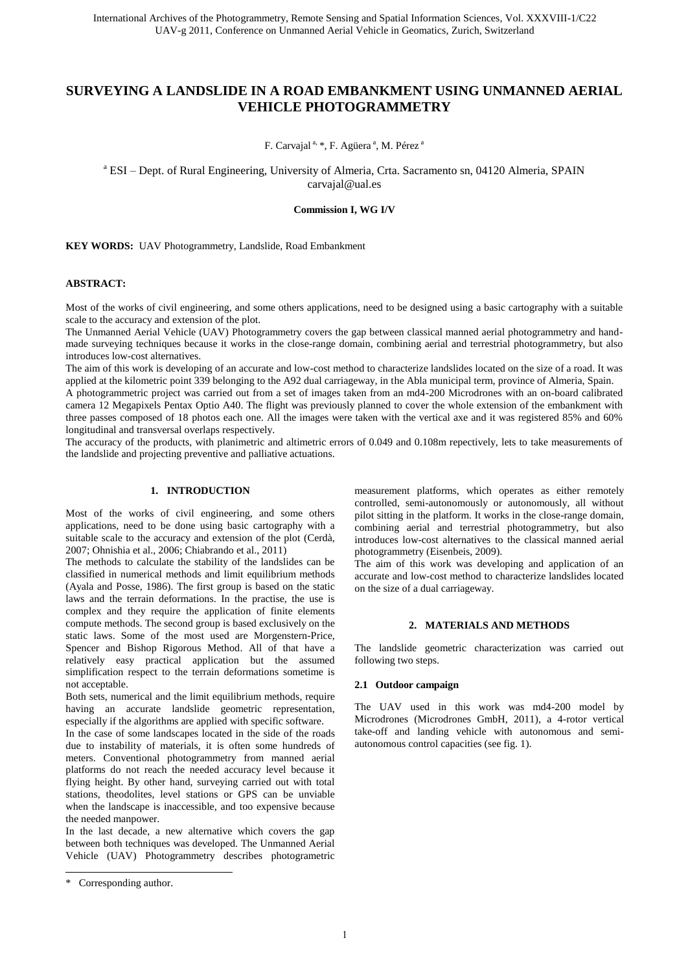# **SURVEYING A LANDSLIDE IN A ROAD EMBANKMENT USING UNMANNED AERIAL VEHICLE PHOTOGRAMMETRY**

F. Carvajal<sup>a, \*</sup>, F. Agüera<sup>a</sup>, M. Pérez<sup>a</sup>

<sup>a</sup> ESI - Dept. of Rural Engineering, University of Almeria, Crta. Sacramento sn, 04120 Almeria, SPAIN carvajal@ual.es

**Commission I, WG I/V** 

**KEY WORDS:** UAV Photogrammetry, Landslide, Road Embankment

#### **ABSTRACT:**

Most of the works of civil engineering, and some others applications, need to be designed using a basic cartography with a suitable scale to the accuracy and extension of the plot.

The Unmanned Aerial Vehicle (UAV) Photogrammetry covers the gap between classical manned aerial photogrammetry and handmade surveying techniques because it works in the close-range domain, combining aerial and terrestrial photogrammetry, but also introduces low-cost alternatives.

The aim of this work is developing of an accurate and low-cost method to characterize landslides located on the size of a road. It was applied at the kilometric point 339 belonging to the A92 dual carriageway, in the Abla municipal term, province of Almeria, Spain. A photogrammetric project was carried out from a set of images taken from an md4-200 Microdrones with an on-board calibrated camera 12 Megapixels Pentax Optio A40. The flight was previously planned to cover the whole extension of the embankment with three passes composed of 18 photos each one. All the images were taken with the vertical axe and it was registered 85% and 60% longitudinal and transversal overlaps respectively.

The accuracy of the products, with planimetric and altimetric errors of 0.049 and 0.108m repectively, lets to take measurements of the landslide and projecting preventive and palliative actuations.

# **1. INTRODUCTION**

Most of the works of civil engineering, and some others applications, need to be done using basic cartography with a suitable scale to the accuracy and extension of the plot (Cerdà, 2007; Ohnishia et al., 2006; Chiabrando et al., 2011)

The methods to calculate the stability of the landslides can be classified in numerical methods and limit equilibrium methods (Ayala and Posse, 1986). The first group is based on the static laws and the terrain deformations. In the practise, the use is complex and they require the application of finite elements compute methods. The second group is based exclusively on the static laws. Some of the most used are Morgenstern-Price, Spencer and Bishop Rigorous Method. All of that have a relatively easy practical application but the assumed simplification respect to the terrain deformations sometime is not acceptable.

Both sets, numerical and the limit equilibrium methods, require having an accurate landslide geometric representation, especially if the algorithms are applied with specific software.

In the case of some landscapes located in the side of the roads due to instability of materials, it is often some hundreds of meters. Conventional photogrammetry from manned aerial platforms do not reach the needed accuracy level because it flying height. By other hand, surveying carried out with total stations, theodolites, level stations or GPS can be unviable when the landscape is inaccessible, and too expensive because the needed manpower.

In the last decade, a new alternative which covers the gap between both techniques was developed. The Unmanned Aerial Vehicle (UAV) Photogrammetry describes photogrametric

 $\overline{a}$ 

measurement platforms, which operates as either remotely controlled, semi-autonomously or autonomously, all without pilot sitting in the platform. It works in the close-range domain, combining aerial and terrestrial photogrammetry, but also introduces low-cost alternatives to the classical manned aerial photogrammetry (Eisenbeis, 2009).

The aim of this work was developing and application of an accurate and low-cost method to characterize landslides located on the size of a dual carriageway.

#### **2. MATERIALS AND METHODS**

The landslide geometric characterization was carried out following two steps.

#### **2.1 Outdoor campaign**

The UAV used in this work was md4-200 model by Microdrones (Microdrones GmbH, 2011), a 4-rotor vertical take-off and landing vehicle with autonomous and semiautonomous control capacities (see fig. 1).

<sup>\*</sup> Corresponding author.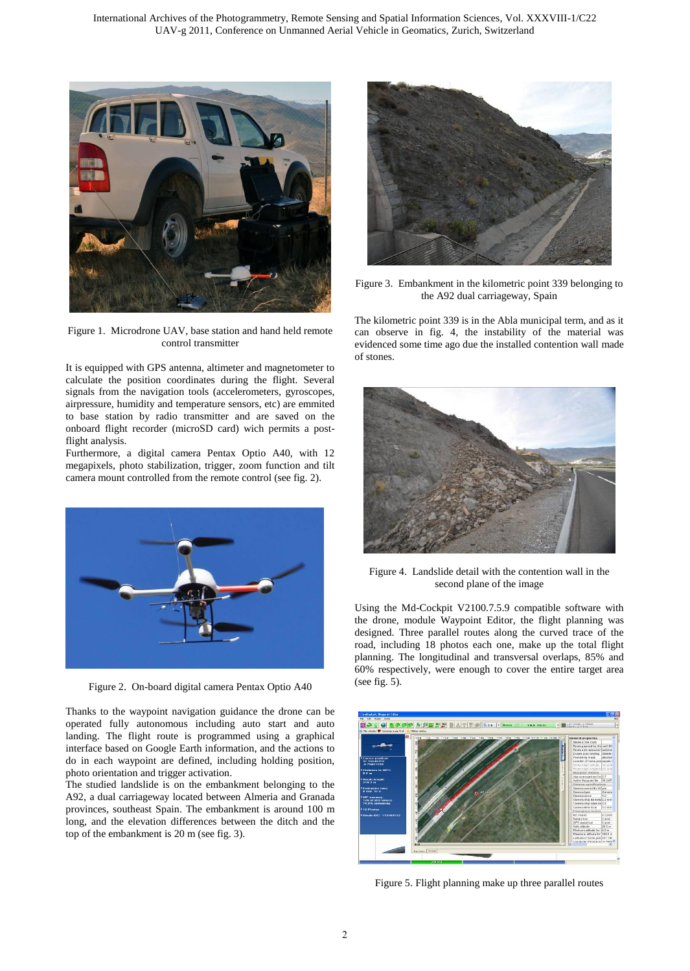

Figure 1. Microdrone UAV, base station and hand held remote control transmitter

It is equipped with GPS antenna, altimeter and magnetometer to calculate the position coordinates during the flight. Several signals from the navigation tools (accelerometers, gyroscopes, airpressure, humidity and temperature sensors, etc) are emmited to base station by radio transmitter and are saved on the onboard flight recorder (microSD card) wich permits a postflight analysis.

Furthermore, a digital camera Pentax Optio A40, with 12 megapixels, photo stabilization, trigger, zoom function and tilt camera mount controlled from the remote control (see fig. 2).



Figure 2. On-board digital camera Pentax Optio A40

Thanks to the waypoint navigation guidance the drone can be operated fully autonomous including auto start and auto landing. The flight route is programmed using a graphical interface based on Google Earth information, and the actions to do in each waypoint are defined, including holding position, photo orientation and trigger activation.

The studied landslide is on the embankment belonging to the A92, a dual carriageway located between Almeria and Granada provinces, southeast Spain. The embankment is around 100 m long, and the elevation differences between the ditch and the top of the embankment is 20 m (see fig. 3).



Figure 3. Embankment in the kilometric point 339 belonging to the A92 dual carriageway, Spain

The kilometric point 339 is in the Abla municipal term, and as it can observe in fig. 4, the instability of the material was evidenced some time ago due the installed contention wall made of stones.



Figure 4. Landslide detail with the contention wall in the second plane of the image

Using the Md-Cockpit V2100.7.5.9 compatible software with the drone, module Waypoint Editor, the flight planning was designed. Three parallel routes along the curved trace of the road, including 18 photos each one, make up the total flight planning. The longitudinal and transversal overlaps, 85% and 60% respectively, were enough to cover the entire target area (see fig. 5).



Figure 5. Flight planning make up three parallel routes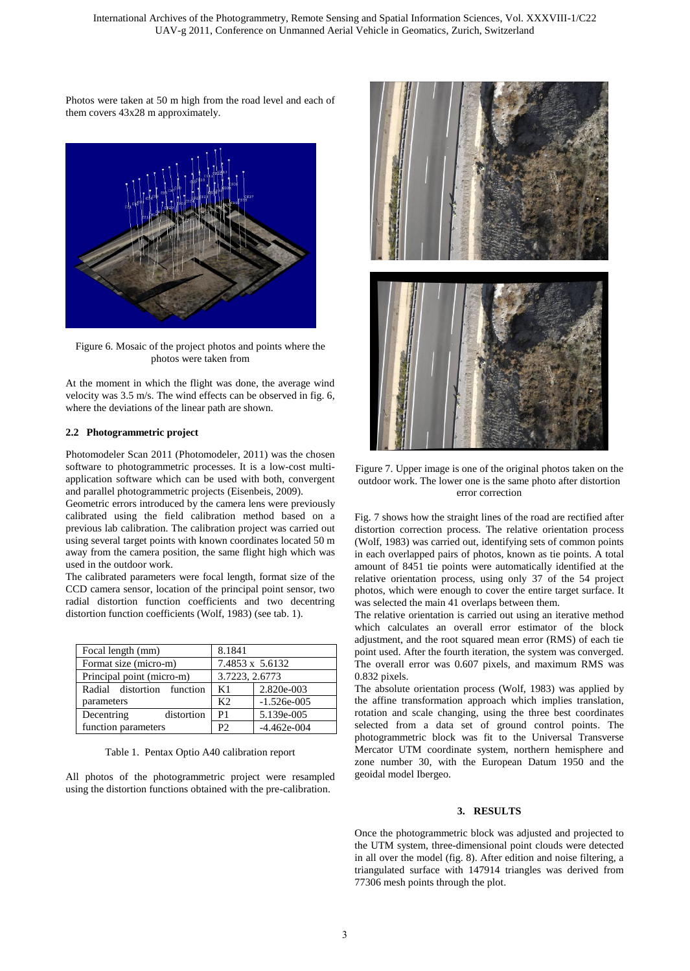Photos were taken at 50 m high from the road level and each of them covers 43x28 m approximately.



Figure 6. Mosaic of the project photos and points where the photos were taken from

At the moment in which the flight was done, the average wind velocity was 3.5 m/s. The wind effects can be observed in fig. 6, where the deviations of the linear path are shown.

#### **2.2 Photogrammetric project**

Photomodeler Scan 2011 (Photomodeler, 2011) was the chosen software to photogrammetric processes. It is a low-cost multiapplication software which can be used with both, convergent and parallel photogrammetric projects (Eisenbeis, 2009).

Geometric errors introduced by the camera lens were previously calibrated using the field calibration method based on a previous lab calibration. The calibration project was carried out using several target points with known coordinates located 50 m away from the camera position, the same flight high which was used in the outdoor work.

The calibrated parameters were focal length, format size of the CCD camera sensor, location of the principal point sensor, two radial distortion function coefficients and two decentring distortion function coefficients (Wolf, 1983) (see tab. 1).

| Focal length (mm)          | 8.1841          |               |
|----------------------------|-----------------|---------------|
| Format size (micro-m)      | 7.4853 x 5.6132 |               |
| Principal point (micro-m)  | 3.7223, 2.6773  |               |
| Radial distortion function | K1              | 2.820e-003    |
| parameters                 | K <sub>2</sub>  | $-1.526e-005$ |
| Decentring<br>distortion   | P1              | 5.139e-005    |
| function parameters        | P <sub>2</sub>  | $-4.462e-004$ |

Table 1. Pentax Optio A40 calibration report

All photos of the photogrammetric project were resampled using the distortion functions obtained with the pre-calibration.



Figure 7. Upper image is one of the original photos taken on the outdoor work. The lower one is the same photo after distortion error correction

Fig. 7 shows how the straight lines of the road are rectified after distortion correction process. The relative orientation process (Wolf, 1983) was carried out, identifying sets of common points in each overlapped pairs of photos, known as tie points. A total amount of 8451 tie points were automatically identified at the relative orientation process, using only 37 of the 54 project photos, which were enough to cover the entire target surface. It was selected the main 41 overlaps between them.

The relative orientation is carried out using an iterative method which calculates an overall error estimator of the block adjustment, and the root squared mean error (RMS) of each tie point used. After the fourth iteration, the system was converged. The overall error was 0.607 pixels, and maximum RMS was 0.832 pixels.

The absolute orientation process (Wolf, 1983) was applied by the affine transformation approach which implies translation, rotation and scale changing, using the three best coordinates selected from a data set of ground control points. The photogrammetric block was fit to the Universal Transverse Mercator UTM coordinate system, northern hemisphere and zone number 30, with the European Datum 1950 and the geoidal model Ibergeo.

#### **3. RESULTS**

Once the photogrammetric block was adjusted and projected to the UTM system, three-dimensional point clouds were detected in all over the model (fig. 8). After edition and noise filtering, a triangulated surface with 147914 triangles was derived from 77306 mesh points through the plot.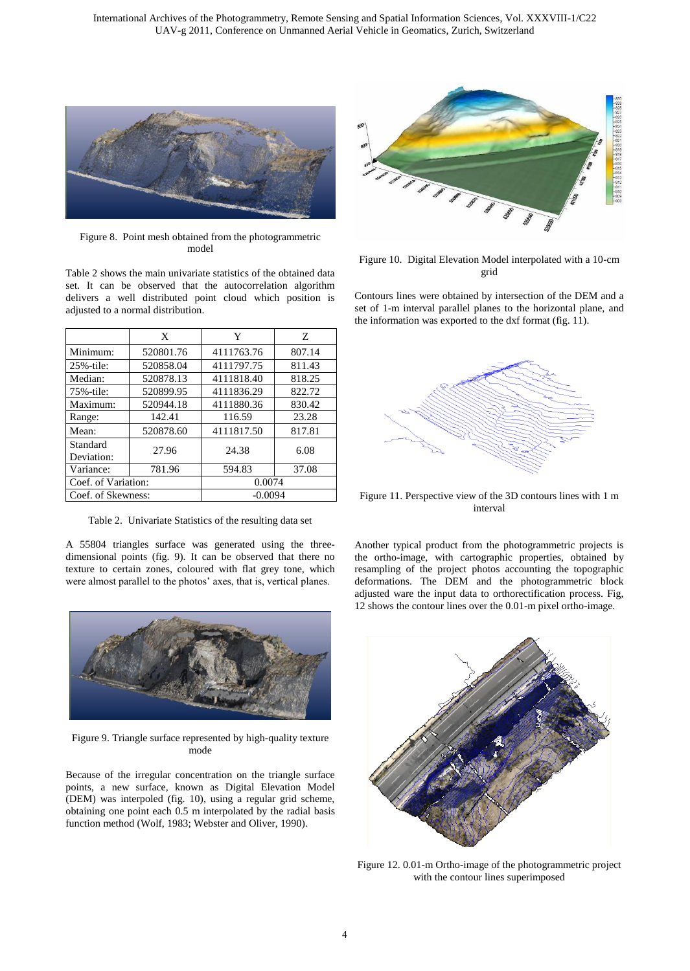

Figure 8. Point mesh obtained from the photogrammetric model

Table 2 shows the main univariate statistics of the obtained data set. It can be observed that the autocorrelation algorithm delivers a well distributed point cloud which position is adjusted to a normal distribution.

|                        | X         | Y          | Z      |  |
|------------------------|-----------|------------|--------|--|
| Minimum:               | 520801.76 | 4111763.76 | 807.14 |  |
| 25%-tile:              | 520858.04 | 4111797.75 | 811.43 |  |
| Median:                | 520878.13 | 4111818.40 | 818.25 |  |
| 75%-tile:              | 520899.95 | 4111836.29 | 822.72 |  |
| Maximum:               | 520944.18 | 4111880.36 | 830.42 |  |
| Range:                 | 142.41    | 116.59     | 23.28  |  |
| Mean:                  | 520878.60 | 4111817.50 | 817.81 |  |
| Standard<br>Deviation: | 27.96     | 24.38      | 6.08   |  |
| Variance:              | 781.96    | 594.83     | 37.08  |  |
| Coef. of Variation:    |           | 0.0074     |        |  |
| Coef. of Skewness:     |           | $-0.0094$  |        |  |

Table 2. Univariate Statistics of the resulting data set

A 55804 triangles surface was generated using the threedimensional points (fig. 9). It can be observed that there no texture to certain zones, coloured with flat grey tone, which were almost parallel to the photos' axes, that is, vertical planes.



Figure 9. Triangle surface represented by high-quality texture mode

Because of the irregular concentration on the triangle surface points, a new surface, known as Digital Elevation Model (DEM) was interpoled (fig. 10), using a regular grid scheme, obtaining one point each 0.5 m interpolated by the radial basis function method (Wolf, 1983; Webster and Oliver, 1990).



Figure 10. Digital Elevation Model interpolated with a 10-cm grid

Contours lines were obtained by intersection of the DEM and a set of 1-m interval parallel planes to the horizontal plane, and the information was exported to the dxf format (fig.  $11$ ).



Figure 11. Perspective view of the 3D contours lines with 1 m interval

Another typical product from the photogrammetric projects is the ortho-image, with cartographic properties, obtained by resampling of the project photos accounting the topographic deformations. The DEM and the photogrammetric block adjusted ware the input data to orthorectification process. Fig, 12 shows the contour lines over the 0.01-m pixel ortho-image.



Figure 12. 0.01-m Ortho-image of the photogrammetric project with the contour lines superimposed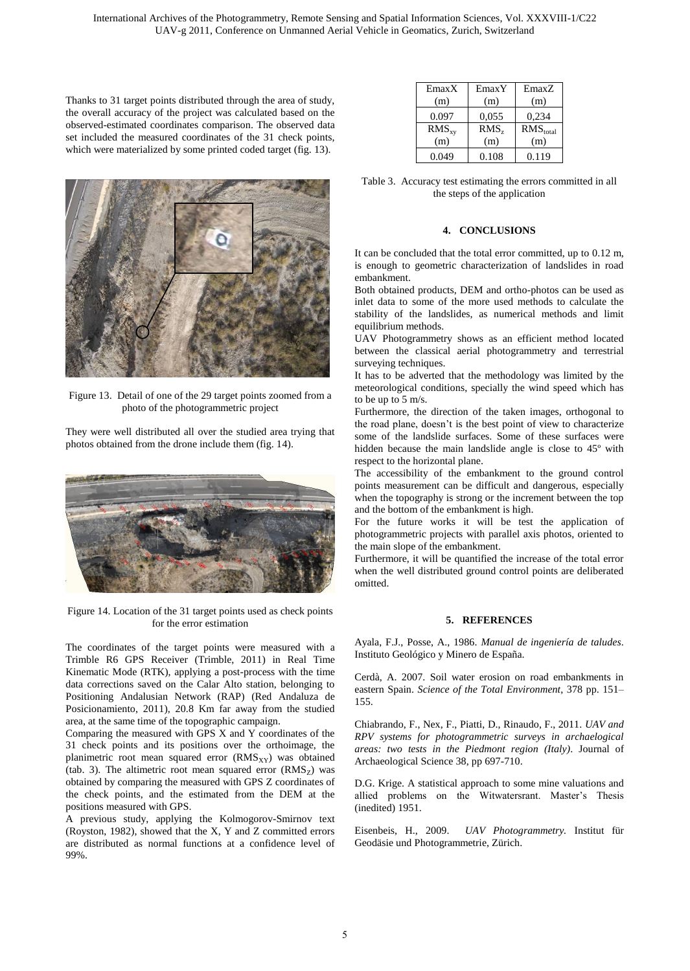Thanks to 31 target points distributed through the area of study, the overall accuracy of the project was calculated based on the observed-estimated coordinates comparison. The observed data set included the measured coordinates of the 31 check points, which were materialized by some printed coded target (fig. 13).



Figure 13. Detail of one of the 29 target points zoomed from a photo of the photogrammetric project

They were well distributed all over the studied area trying that photos obtained from the drone include them (fig. 14).



Figure 14. Location of the 31 target points used as check points for the error estimation

The coordinates of the target points were measured with a Trimble R6 GPS Receiver (Trimble, 2011) in Real Time Kinematic Mode (RTK), applying a post-process with the time data corrections saved on the Calar Alto station, belonging to Positioning Andalusian Network (RAP) (Red Andaluza de Posicionamiento, 2011), 20.8 Km far away from the studied area, at the same time of the topographic campaign.

Comparing the measured with GPS X and Y coordinates of the 31 check points and its positions over the orthoimage, the planimetric root mean squared error  $(RMS<sub>XY</sub>)$  was obtained (tab. 3). The altimetric root mean squared error  $(RMS<sub>z</sub>)$  was obtained by comparing the measured with GPS Z coordinates of the check points, and the estimated from the DEM at the positions measured with GPS.

A previous study, applying the Kolmogorov-Smirnov text (Royston, 1982), showed that the X, Y and Z committed errors are distributed as normal functions at a confidence level of 99%.

| EmaxX      | EmaxY            | EmaxZ                |
|------------|------------------|----------------------|
| (m)        | (m)              | (m)                  |
| 0.097      | 0,055            | 0,234                |
| $RMS_{xy}$ | RMS <sub>z</sub> | RMS <sub>total</sub> |
| (m)        | (m)              | (m)                  |
| 0.049      | 0.108            | 0.119                |

Table 3. Accuracy test estimating the errors committed in all the steps of the application

#### **4. CONCLUSIONS**

It can be concluded that the total error committed, up to 0.12 m, is enough to geometric characterization of landslides in road embankment.

Both obtained products, DEM and ortho-photos can be used as inlet data to some of the more used methods to calculate the stability of the landslides, as numerical methods and limit equilibrium methods.

UAV Photogrammetry shows as an efficient method located between the classical aerial photogrammetry and terrestrial surveying techniques.

It has to be adverted that the methodology was limited by the meteorological conditions, specially the wind speed which has to be up to 5 m/s.

Furthermore, the direction of the taken images, orthogonal to the road plane, doesn't is the best point of view to characterize some of the landslide surfaces. Some of these surfaces were hidden because the main landslide angle is close to 45º with respect to the horizontal plane.

The accessibility of the embankment to the ground control points measurement can be difficult and dangerous, especially when the topography is strong or the increment between the top and the bottom of the embankment is high.

For the future works it will be test the application of photogrammetric projects with parallel axis photos, oriented to the main slope of the embankment.

Furthermore, it will be quantified the increase of the total error when the well distributed ground control points are deliberated omitted.

### **5. REFERENCES**

Ayala, F.J., Posse, A., 1986. *Manual de ingeniería de taludes*. Instituto Geológico y Minero de España.

Cerdà, A. 2007. Soil water erosion on road embankments in eastern Spain. *Science of the Total Environment*, 378 pp. 151– 155.

Chiabrando, F., Nex, F., Piatti, D., Rinaudo, F., 2011. *UAV and RPV systems for photogrammetric surveys in archaelogical areas: two tests in the Piedmont region (Italy)*. Journal of Archaeological Science 38, pp 697-710.

D.G. Krige. A statistical approach to some mine valuations and allied problems on the Witwatersrant. Master's Thesis (inedited) 1951.

Eisenbeis, H., 2009. *UAV Photogrammetry.* Institut für Geodäsie und Photogrammetrie, Zürich.